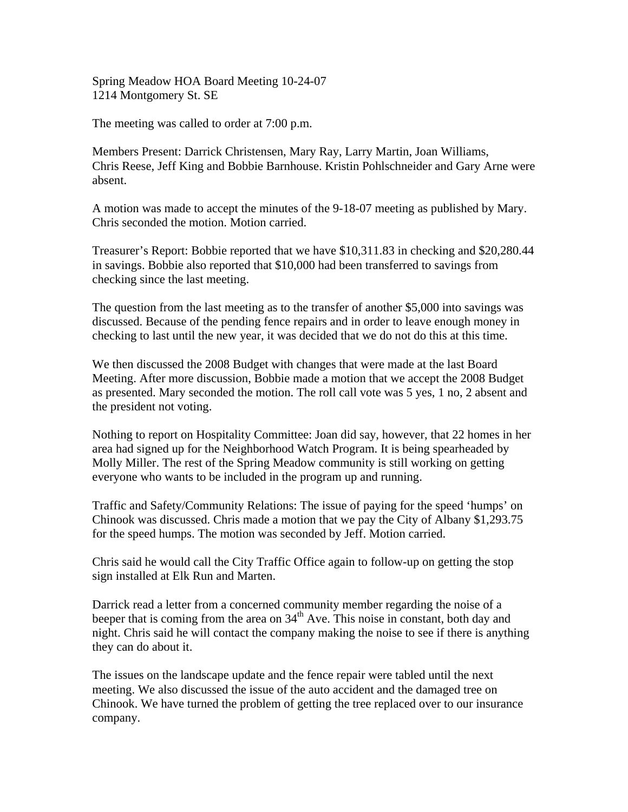Spring Meadow HOA Board Meeting 10-24-07 1214 Montgomery St. SE

The meeting was called to order at 7:00 p.m.

Members Present: Darrick Christensen, Mary Ray, Larry Martin, Joan Williams, Chris Reese, Jeff King and Bobbie Barnhouse. Kristin Pohlschneider and Gary Arne were absent.

A motion was made to accept the minutes of the 9-18-07 meeting as published by Mary. Chris seconded the motion. Motion carried.

Treasurer's Report: Bobbie reported that we have \$10,311.83 in checking and \$20,280.44 in savings. Bobbie also reported that \$10,000 had been transferred to savings from checking since the last meeting.

The question from the last meeting as to the transfer of another \$5,000 into savings was discussed. Because of the pending fence repairs and in order to leave enough money in checking to last until the new year, it was decided that we do not do this at this time.

We then discussed the 2008 Budget with changes that were made at the last Board Meeting. After more discussion, Bobbie made a motion that we accept the 2008 Budget as presented. Mary seconded the motion. The roll call vote was 5 yes, 1 no, 2 absent and the president not voting.

Nothing to report on Hospitality Committee: Joan did say, however, that 22 homes in her area had signed up for the Neighborhood Watch Program. It is being spearheaded by Molly Miller. The rest of the Spring Meadow community is still working on getting everyone who wants to be included in the program up and running.

Traffic and Safety/Community Relations: The issue of paying for the speed 'humps' on Chinook was discussed. Chris made a motion that we pay the City of Albany \$1,293.75 for the speed humps. The motion was seconded by Jeff. Motion carried.

Chris said he would call the City Traffic Office again to follow-up on getting the stop sign installed at Elk Run and Marten.

Darrick read a letter from a concerned community member regarding the noise of a beeper that is coming from the area on  $34<sup>th</sup>$  Ave. This noise in constant, both day and night. Chris said he will contact the company making the noise to see if there is anything they can do about it.

The issues on the landscape update and the fence repair were tabled until the next meeting. We also discussed the issue of the auto accident and the damaged tree on Chinook. We have turned the problem of getting the tree replaced over to our insurance company.